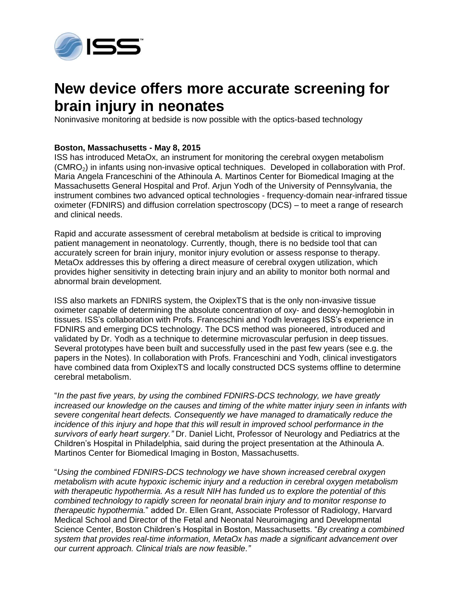

## **New device offers more accurate screening for brain injury in neonates**

Noninvasive monitoring at bedside is now possible with the optics-based technology

## **Boston, Massachusetts - May 8, 2015**

ISS has introduced MetaOx, an instrument for monitoring the cerebral oxygen metabolism (CMRO2) in infants using non-invasive optical techniques. Developed in collaboration with Prof. Maria Angela Franceschini of the Athinoula A. Martinos Center for Biomedical Imaging at the Massachusetts General Hospital and Prof. Arjun Yodh of the University of Pennsylvania, the instrument combines two advanced optical technologies - frequency-domain near-infrared tissue oximeter (FDNIRS) and diffusion correlation spectroscopy (DCS) – to meet a range of research and clinical needs.

Rapid and accurate assessment of cerebral metabolism at bedside is critical to improving patient management in neonatology. Currently, though, there is no bedside tool that can accurately screen for brain injury, monitor injury evolution or assess response to therapy. MetaOx addresses this by offering a direct measure of cerebral oxygen utilization, which provides higher sensitivity in detecting brain injury and an ability to monitor both normal and abnormal brain development.

ISS also markets an FDNIRS system, the OxiplexTS that is the only non-invasive tissue oximeter capable of determining the absolute concentration of oxy- and deoxy-hemoglobin in tissues. ISS's collaboration with Profs. Franceschini and Yodh leverages ISS's experience in FDNIRS and emerging DCS technology. The DCS method was pioneered, introduced and validated by Dr. Yodh as a technique to determine microvascular perfusion in deep tissues. Several prototypes have been built and successfully used in the past few years (see e.g. the papers in the Notes). In collaboration with Profs. Franceschini and Yodh, clinical investigators have combined data from OxiplexTS and locally constructed DCS systems offline to determine cerebral metabolism.

"*In the past five years, by using the combined FDNIRS-DCS technology, we have greatly increased our knowledge on the causes and timing of the white matter injury seen in infants with severe congenital heart defects. Consequently we have managed to dramatically reduce the incidence of this injury and hope that this will result in improved school performance in the survivors of early heart surgery."* Dr. Daniel Licht, Professor of Neurology and Pediatrics at the Children's Hospital in Philadelphia, said during the project presentation at the Athinoula A. Martinos Center for Biomedical Imaging in Boston, Massachusetts.

"*Using the combined FDNIRS-DCS technology we have shown increased cerebral oxygen metabolism with acute hypoxic ischemic injury and a reduction in cerebral oxygen metabolism with therapeutic hypothermia. As a result NIH has funded us to explore the potential of this combined technology to rapidly screen for neonatal brain injury and to monitor response to therapeutic hypothermia.*" added Dr. Ellen Grant, Associate Professor of Radiology, Harvard Medical School and Director of the Fetal and Neonatal Neuroimaging and Developmental Science Center, Boston Children's Hospital in Boston, Massachusetts. "*By creating a combined system that provides real-time information, MetaOx has made a significant advancement over our current approach. Clinical trials are now feasible."*